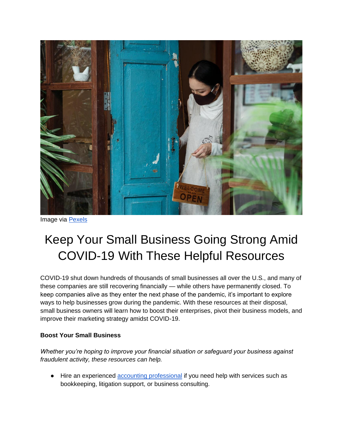

Image via [Pexels](https://www.pexels.com/photo/calm-woman-in-respirator-with-open-sign-near-shop-door-4473091/)

## Keep Your Small Business Going Strong Amid COVID-19 With These Helpful Resources

COVID-19 shut down hundreds of thousands of small businesses all over the U.S., and many of these companies are still recovering financially — while others have permanently closed. To keep companies alive as they enter the next phase of the pandemic, it's important to explore ways to help businesses grow during the pandemic. With these resources at their disposal, small business owners will learn how to boost their enterprises, pivot their business models, and improve their marketing strategy amidst COVID-19.

## **Boost Your Small Business**

*Whether you're hoping to improve your financial situation or safeguard your business against fraudulent activity, these resources can help.* 

● Hire an experienced [accounting professional](https://www.bizbrain.org/faq/why-should-you-hire-an-accountant-for-your-business/) if you need help with services such as bookkeeping, litigation support, or business consulting.